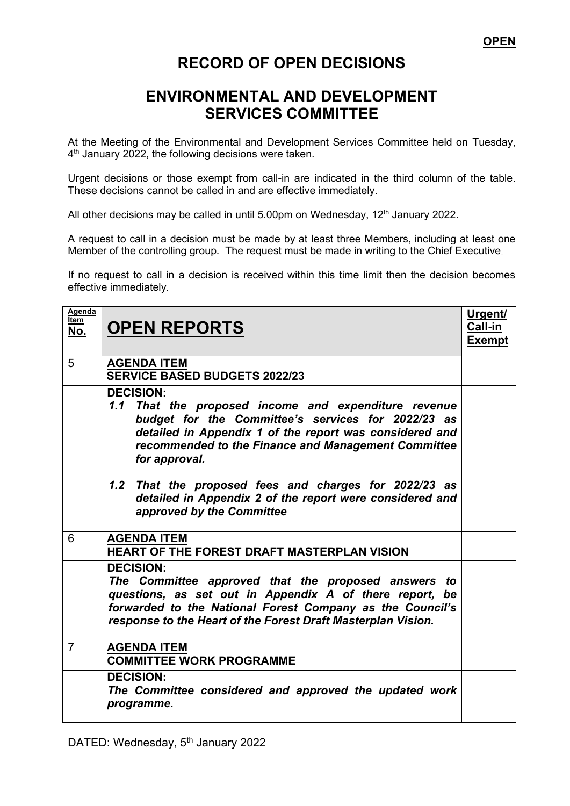## **RECORD OF OPEN DECISIONS**

## **ENVIRONMENTAL AND DEVELOPMENT SERVICES COMMITTEE**

At the Meeting of the Environmental and Development Services Committee held on Tuesday, 4<sup>th</sup> January 2022, the following decisions were taken.

Urgent decisions or those exempt from call-in are indicated in the third column of the table. These decisions cannot be called in and are effective immediately.

All other decisions may be called in until 5.00pm on Wednesday, 12<sup>th</sup> January 2022.

A request to call in a decision must be made by at least three Members, including at least one Member of the controlling group. The request must be made in writing to the Chief Executive.

If no request to call in a decision is received within this time limit then the decision becomes effective immediately.

| Agenda<br>Item<br>No. | <b>OPEN REPORTS</b>                                                                                                                                                                                                                                                                                                        | <u>Urgent/</u><br>Call-in<br><b>Exempt</b> |
|-----------------------|----------------------------------------------------------------------------------------------------------------------------------------------------------------------------------------------------------------------------------------------------------------------------------------------------------------------------|--------------------------------------------|
| 5                     | <b>AGENDA ITEM</b><br><b>SERVICE BASED BUDGETS 2022/23</b>                                                                                                                                                                                                                                                                 |                                            |
|                       | <b>DECISION:</b><br>1.1 That the proposed income and expenditure revenue<br>budget for the Committee's services for 2022/23 as<br>detailed in Appendix 1 of the report was considered and<br>recommended to the Finance and Management Committee<br>for approval.<br>1.2 That the proposed fees and charges for 2022/23 as |                                            |
|                       | detailed in Appendix 2 of the report were considered and<br>approved by the Committee                                                                                                                                                                                                                                      |                                            |
| 6                     | <b>AGENDA ITEM</b><br><b>HEART OF THE FOREST DRAFT MASTERPLAN VISION</b>                                                                                                                                                                                                                                                   |                                            |
|                       | <b>DECISION:</b><br>The Committee approved that the proposed answers to<br>questions, as set out in Appendix A of there report, be<br>forwarded to the National Forest Company as the Council's<br>response to the Heart of the Forest Draft Masterplan Vision.                                                            |                                            |
| $\overline{7}$        | <b>AGENDA ITEM</b><br><b>COMMITTEE WORK PROGRAMME</b>                                                                                                                                                                                                                                                                      |                                            |
|                       | <b>DECISION:</b><br>The Committee considered and approved the updated work<br>programme.                                                                                                                                                                                                                                   |                                            |